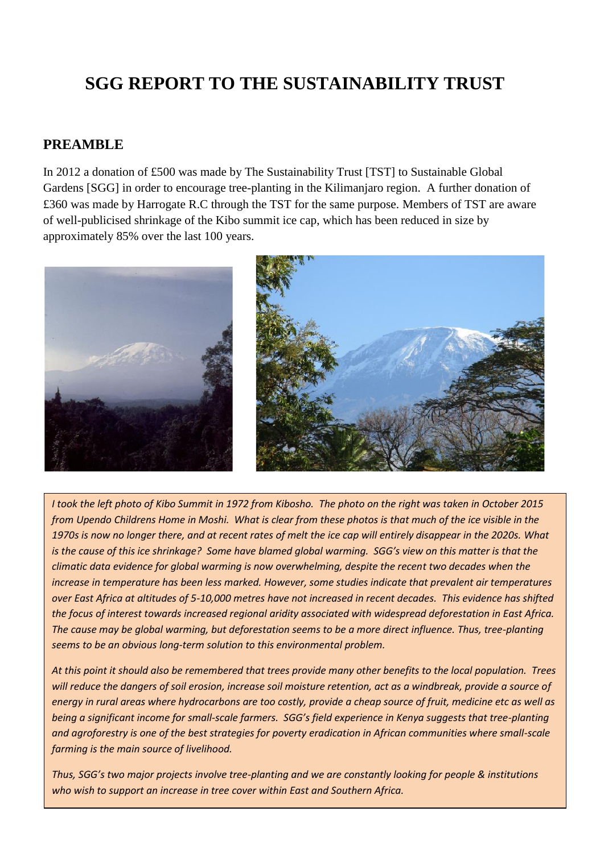# **SGG REPORT TO THE SUSTAINABILITY TRUST**

#### **PREAMBLE**

In 2012 a donation of £500 was made by The Sustainability Trust [TST] to Sustainable Global Gardens [SGG] in order to encourage tree-planting in the Kilimanjaro region. A further donation of £360 was made by Harrogate R.C through the TST for the same purpose. Members of TST are aware of well-publicised shrinkage of the Kibo summit ice cap, which has been reduced in size by approximately 85% over the last 100 years.



*I took the left photo of Kibo Summit in 1972 from Kibosho. The photo on the right was taken in October 2015 from Upendo Childrens Home in Moshi. What is clear from these photos is that much of the ice visible in the 1970s is now no longer there, and at recent rates of melt the ice cap will entirely disappear in the 2020s. What is the cause of this ice shrinkage? Some have blamed global warming. SGG's view on this matter is that the climatic data evidence for global warming is now overwhelming, despite the recent two decades when the increase in temperature has been less marked. However, some studies indicate that prevalent air temperatures over East Africa at altitudes of 5-10,000 metres have not increased in recent decades. This evidence has shifted the focus of interest towards increased regional aridity associated with widespread deforestation in East Africa. The cause may be global warming, but deforestation seems to be a more direct influence. Thus, tree-planting seems to be an obvious long-term solution to this environmental problem.*

*At this point it should also be remembered that trees provide many other benefits to the local population. Trees will reduce the dangers of soil erosion, increase soil moisture retention, act as a windbreak, provide a source of energy in rural areas where hydrocarbons are too costly, provide a cheap source of fruit, medicine etc as well as being a significant income for small-scale farmers. SGG's field experience in Kenya suggests that tree-planting and agroforestry is one of the best strategies for poverty eradication in African communities where small-scale farming is the main source of livelihood.*

*Thus, SGG's two major projects involve tree-planting and we are constantly looking for people & institutions who wish to support an increase in tree cover within East and Southern Africa.*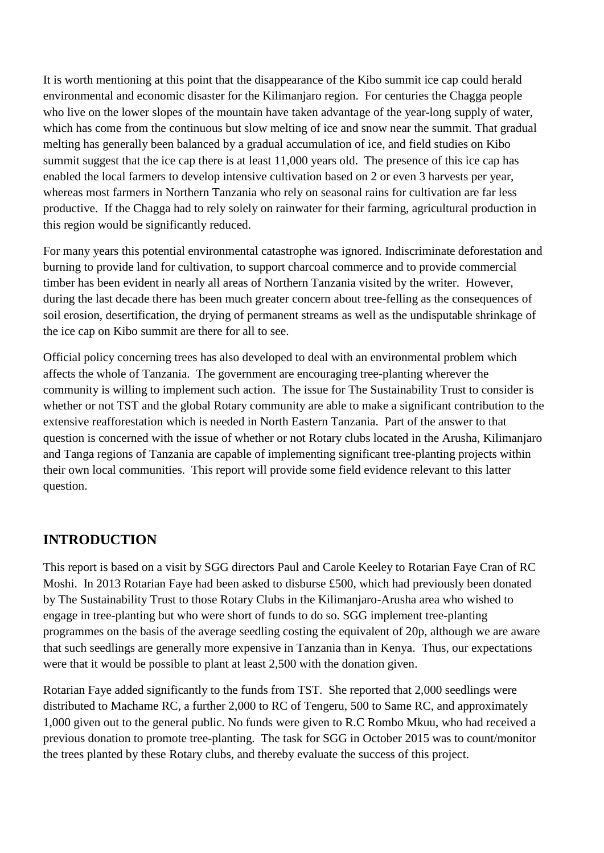It is worth mentioning at this point that the disappearance of the Kibo summit ice cap could herald environmental and economic disaster for the Kilimanjaro region. For centuries the Chagga people who live on the lower slopes of the mountain have taken advantage of the year-long supply of water, which has come from the continuous but slow melting of ice and snow near the summit. That gradual melting has generally been balanced by a gradual accumulation of ice, and field studies on Kibo summit suggest that the ice cap there is at least 11,000 years old. The presence of this ice cap has enabled the local farmers to develop intensive cultivation based on 2 or even 3 harvests per year, whereas most farmers in Northern Tanzania who rely on seasonal rains for cultivation are far less productive. If the Chagga had to rely solely on rainwater for their farming, agricultural production in this region would be significantly reduced.

For many years this potential environmental catastrophe was ignored. Indiscriminate deforestation and burning to provide land for cultivation, to support charcoal commerce and to provide commercial timber has been evident in nearly all areas of Northern Tanzania visited by the writer. However, during the last decade there has been much greater concern about tree-felling as the consequences of soil erosion, desertification, the drying of permanent streams as well as the undisputable shrinkage of the ice cap on Kibo summit are there for all to see.

Official policy concerning trees has also developed to deal with an environmental problem which affects the whole of Tanzania. The government are encouraging tree-planting wherever the community is willing to implement such action. The issue for The Sustainability Trust to consider is whether or not TST and the global Rotary community are able to make a significant contribution to the extensive reafforestation which is needed in North Eastern Tanzania. Part of the answer to that question is concerned with the issue of whether or not Rotary clubs located in the Arusha, Kilimanjaro and Tanga regions of Tanzania are capable of implementing significant tree-planting projects within their own local communities. This report will provide some field evidence relevant to this latter question.

## **INTRODUCTION**

This report is based on a visit by SGG directors Paul and Carole Keeley to Rotarian Faye Cran of RC Moshi. In 2013 Rotarian Faye had been asked to disburse £500, which had previously been donated by The Sustainability Trust to those Rotary Clubs in the Kilimanjaro-Arusha area who wished to engage in tree-planting but who were short of funds to do so. SGG implement tree-planting programmes on the basis of the average seedling costing the equivalent of 20p, although we are aware that such seedlings are generally more expensive in Tanzania than in Kenya. Thus, our expectations were that it would be possible to plant at least 2,500 with the donation given.

Rotarian Faye added significantly to the funds from TST. She reported that 2,000 seedlings were distributed to Machame RC, a further 2,000 to RC of Tengeru, 500 to Same RC, and approximately 1,000 given out to the general public. No funds were given to R.C Rombo Mkuu, who had received a previous donation to promote tree-planting. The task for SGG in October 2015 was to count/monitor the trees planted by these Rotary clubs, and thereby evaluate the success of this project.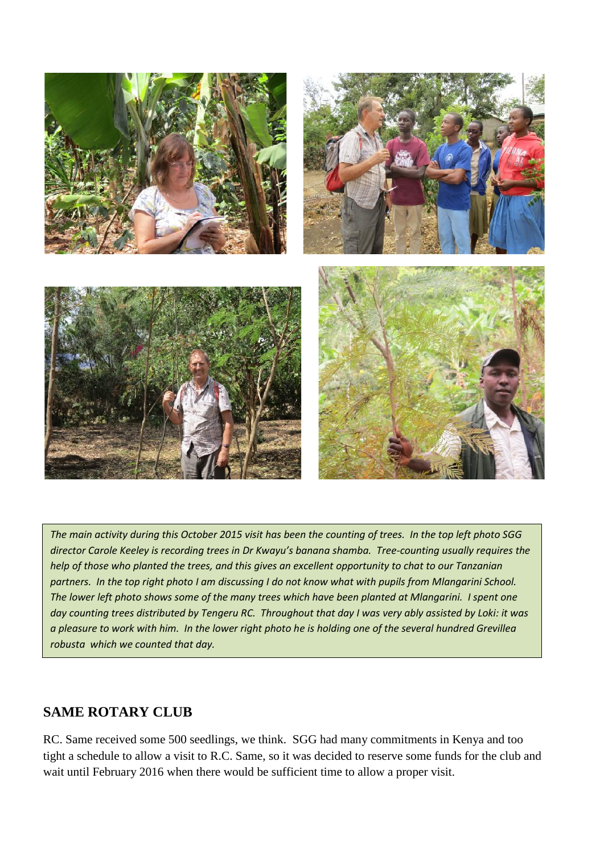

*The main activity during this October 2015 visit has been the counting of trees. In the top left photo SGG director Carole Keeley is recording trees in Dr Kwayu's banana shamba. Tree-counting usually requires the help of those who planted the trees, and this gives an excellent opportunity to chat to our Tanzanian partners. In the top right photo I am discussing I do not know what with pupils from Mlangarini School. The lower left photo shows some of the many trees which have been planted at Mlangarini. I spent one day counting trees distributed by Tengeru RC. Throughout that day I was very ably assisted by Loki: it was a pleasure to work with him. In the lower right photo he is holding one of the several hundred Grevillea robusta which we counted that day.*

## **SAME ROTARY CLUB**

RC. Same received some 500 seedlings, we think. SGG had many commitments in Kenya and too tight a schedule to allow a visit to R.C. Same, so it was decided to reserve some funds for the club and wait until February 2016 when there would be sufficient time to allow a proper visit.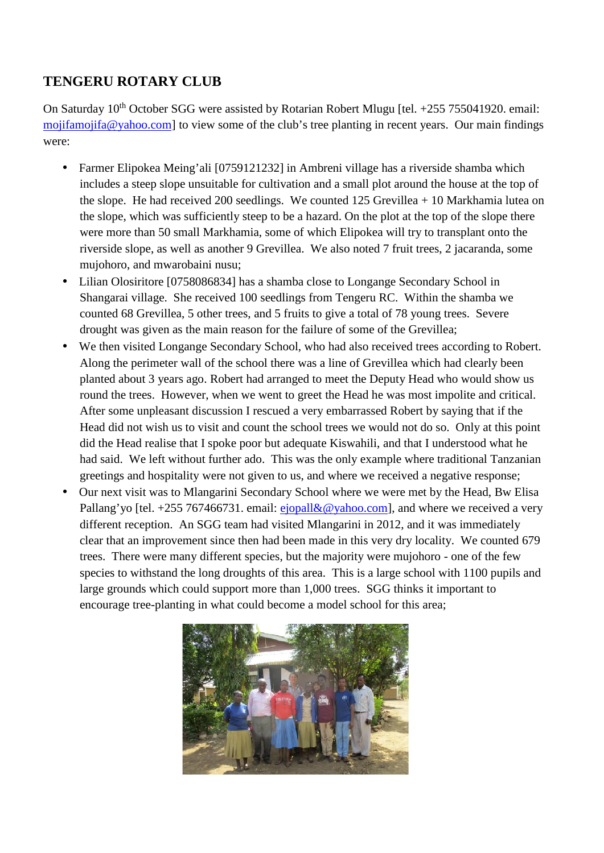# **TENGERU ROTARY CLUB**

On Saturday  $10^{th}$  October SGG were assisted by Rotarian Robert Mlugu [tel.  $+255$  755041920. email: mojifamojifa@yahoo.com] to view some of the club's tree planting in recent years. Our main findings were:

- Farmer Elipokea Meing'ali [0759121232] in Ambreni village has a riverside shamba which includes a steep slope unsuitable for cultivation and a small plot around the house at the top of the slope. He had received 200 seedlings. We counted  $125$  Grevillea  $+ 10$  Markhamia lutea on the slope, which was sufficiently steep to be a hazard. On the plot at the top of the slope there were more than 50 small Markhamia, some of which Elipokea will try to transplant onto the riverside slope, as well as another 9 Grevillea. We also noted 7 fruit trees, 2 jacaranda, some mujohoro, and mwarobaini nusu;
- Lilian Olosiritore [0758086834] has a shamba close to Longange Secondary School in Shangarai village. She received 100 seedlings from Tengeru RC. Within the shamba we counted 68 Grevillea, 5 other trees, and 5 fruits to give a total of 78 young trees. Severe drought was given as the main reason for the failure of some of the Grevillea;
- We then visited Longange Secondary School, who had also received trees according to Robert. Along the perimeter wall of the school there was a line of Grevillea which had clearly been planted about 3 years ago. Robert had arranged to meet the Deputy Head who would show us round the trees. However, when we went to greet the Head he was most impolite and critical. After some unpleasant discussion I rescued a very embarrassed Robert by saying that if the Head did not wish us to visit and count the school trees we would not do so. Only at this point did the Head realise that I spoke poor but adequate Kiswahili, and that I understood what he had said. We left without further ado. This was the only example where traditional Tanzanian greetings and hospitality were not given to us, and where we received a negative response;
- Our next visit was to Mlangarini Secondary School where we were met by the Head, Bw Elisa Pallang'yo [tel. +255 767466731. email:  $ejopall&@yahoo.com$ ], and where we received a very different reception. An SGG team had visited Mlangarini in 2012, and it was immediately clear that an improvement since then had been made in this very dry locality. We counted 679 trees. There were many different species, but the majority were mujohoro - one of the few species to withstand the long droughts of this area. This is a large school with 1100 pupils and large grounds which could support more than 1,000 trees. SGG thinks it important to encourage tree-planting in what could become a model school for this area;

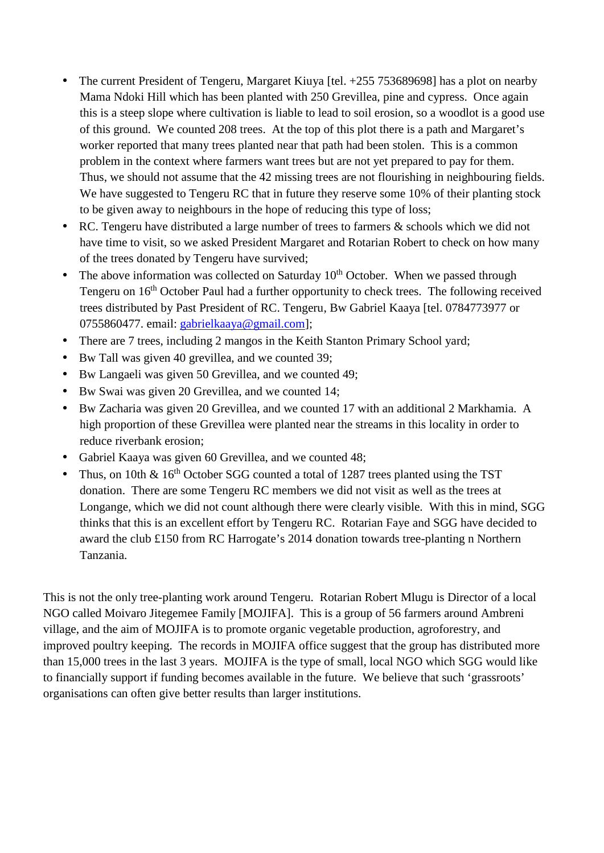- The current President of Tengeru, Margaret Kiuya [tel. +255 753689698] has a plot on nearby Mama Ndoki Hill which has been planted with 250 Grevillea, pine and cypress. Once again this is a steep slope where cultivation is liable to lead to soil erosion, so a woodlot is a good use of this ground. We counted 208 trees. At the top of this plot there is a path and Margaret's worker reported that many trees planted near that path had been stolen. This is a common problem in the context where farmers want trees but are not yet prepared to pay for them. Thus, we should not assume that the 42 missing trees are not flourishing in neighbouring fields. We have suggested to Tengeru RC that in future they reserve some 10% of their planting stock to be given away to neighbours in the hope of reducing this type of loss;
- RC. Tengeru have distributed a large number of trees to farmers & schools which we did not have time to visit, so we asked President Margaret and Rotarian Robert to check on how many of the trees donated by Tengeru have survived;
- The above information was collected on Saturday  $10<sup>th</sup>$  October. When we passed through Tengeru on 16<sup>th</sup> October Paul had a further opportunity to check trees. The following received trees distributed by Past President of RC. Tengeru, Bw Gabriel Kaaya [tel. 0784773977 or 0755860477. email: gabrielkaaya@gmail.com];
- There are 7 trees, including 2 mangos in the Keith Stanton Primary School yard;
- Bw Tall was given 40 grevillea, and we counted 39;
- Bw Langaeli was given 50 Grevillea, and we counted 49;
- Bw Swai was given 20 Grevillea, and we counted 14;
- Bw Zacharia was given 20 Grevillea, and we counted 17 with an additional 2 Markhamia. A high proportion of these Grevillea were planted near the streams in this locality in order to reduce riverbank erosion;
- Gabriel Kaaya was given 60 Grevillea, and we counted 48;
- Thus, on 10th  $\&$  16<sup>th</sup> October SGG counted a total of 1287 trees planted using the TST donation. There are some Tengeru RC members we did not visit as well as the trees at Longange, which we did not count although there were clearly visible. With this in mind, SGG thinks that this is an excellent effort by Tengeru RC. Rotarian Faye and SGG have decided to award the club £150 from RC Harrogate's 2014 donation towards tree-planting n Northern Tanzania.

This is not the only tree-planting work around Tengeru. Rotarian Robert Mlugu is Director of a local NGO called Moivaro Jitegemee Family [MOJIFA]. This is a group of 56 farmers around Ambreni village, and the aim of MOJIFA is to promote organic vegetable production, agroforestry, and improved poultry keeping. The records in MOJIFA office suggest that the group has distributed more than 15,000 trees in the last 3 years. MOJIFA is the type of small, local NGO which SGG would like to financially support if funding becomes available in the future. We believe that such 'grassroots' organisations can often give better results than larger institutions.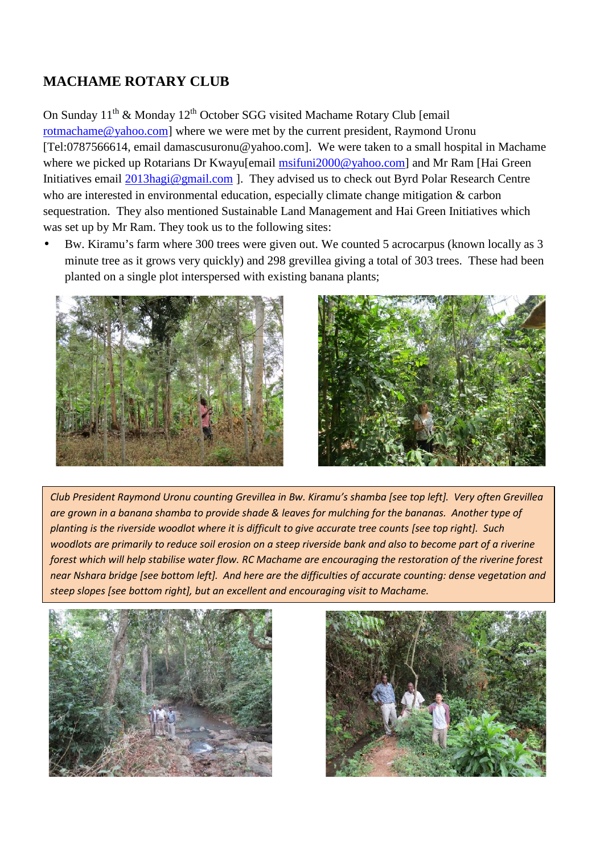# **MACHAME ROTARY CLUB**

On Sunday 11<sup>th</sup> & Monday 12<sup>th</sup> October SGG visited Machame Rotary Club [email rotmachame@yahoo.com] where we were met by the current president, Raymond Uronu [Tel:0787566614, email damascusuronu@yahoo.com]. We were taken to a small hospital in Machame where we picked up Rotarians Dr Kwayu[email msifuni2000@yahoo.com] and Mr Ram [Hai Green] Initiatives email 2013hagi@gmail.com ]. They advised us to check out Byrd Polar Research Centre who are interested in environmental education, especially climate change mitigation & carbon sequestration. They also mentioned Sustainable Land Management and Hai Green Initiatives which was set up by Mr Ram. They took us to the following sites:

 Bw. Kiramu's farm where 300 trees were given out. We counted 5 acrocarpus (known locally as 3 minute tree as it grows very quickly) and 298 grevillea giving a total of 303 trees. These had been planted on a single plot interspersed with existing banana plants;





woodlot *woodlots are primarily to reduce soil erosion on a steep riverside bank and also to become part of a riverine Club President Raymond Uronu counting Grevillea in Bw. Kiramu's shamba [see top left]. Very often Grevillea are grown in a banana shamba to provide shade & leaves for mulching for the bananas. Another type of planting is the riverside woodlot where it is difficult to give accurate tree counts [see top right]. Such forest which will help stabilise water flow. RC Machame are encouraging the restoration of the riverine forest near Nshara bridge [see bottom left]. And here are the difficulties of accurate counting: dense vegetation and steep slopes [see bottom right], but an excellent and encouraging visit to Machame.*



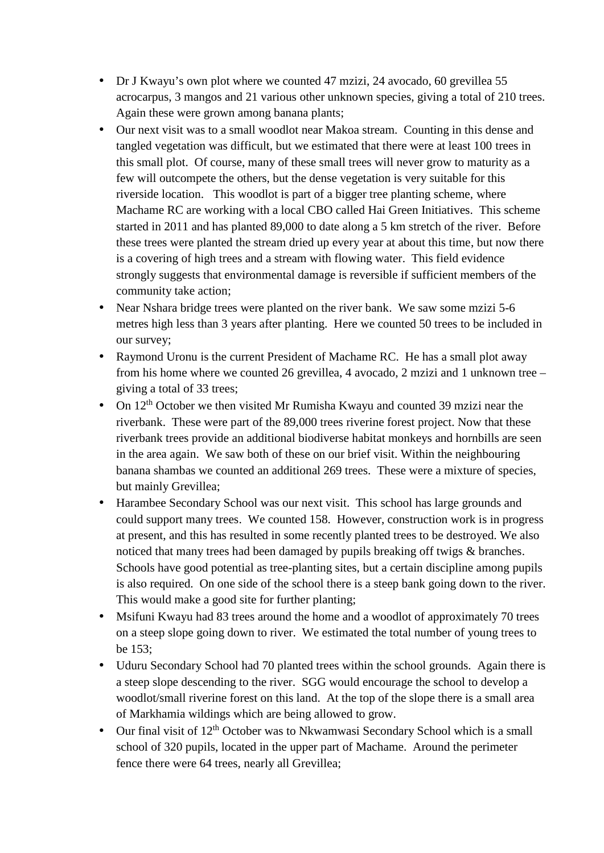- Dr J Kwayu's own plot where we counted 47 mzizi, 24 avocado, 60 grevillea 55 acrocarpus, 3 mangos and 21 various other unknown species, giving a total of 210 trees. Again these were grown among banana plants;
- Our next visit was to a small woodlot near Makoa stream. Counting in this dense and tangled vegetation was difficult, but we estimated that there were at least 100 trees in this small plot. Of course, many of these small trees will never grow to maturity as a few will outcompete the others, but the dense vegetation is very suitable for this riverside location. This woodlot is part of a bigger tree planting scheme, where Machame RC are working with a local CBO called Hai Green Initiatives. This scheme started in 2011 and has planted 89,000 to date along a 5 km stretch of the river. Before these trees were planted the stream dried up every year at about this time, but now there is a covering of high trees and a stream with flowing water. This field evidence strongly suggests that environmental damage is reversible if sufficient members of the community take action;
- Near Nshara bridge trees were planted on the river bank. We saw some mzizi 5-6 metres high less than 3 years after planting. Here we counted 50 trees to be included in our survey;
- Raymond Uronu is the current President of Machame RC. He has a small plot away from his home where we counted 26 grevillea, 4 avocado, 2 mzizi and 1 unknown tree – giving a total of 33 trees;
- On  $12<sup>th</sup>$  October we then visited Mr Rumisha Kwayu and counted 39 mzizi near the riverbank. These were part of the 89,000 trees riverine forest project. Now that these riverbank trees provide an additional biodiverse habitat monkeys and hornbills are seen in the area again. We saw both of these on our brief visit. Within the neighbouring banana shambas we counted an additional 269 trees. These were a mixture of species, but mainly Grevillea;
- Harambee Secondary School was our next visit. This school has large grounds and could support many trees. We counted 158. However, construction work is in progress at present, and this has resulted in some recently planted trees to be destroyed. We also noticed that many trees had been damaged by pupils breaking off twigs & branches. Schools have good potential as tree-planting sites, but a certain discipline among pupils is also required. On one side of the school there is a steep bank going down to the river. This would make a good site for further planting;
- Msifuni Kwayu had 83 trees around the home and a woodlot of approximately 70 trees on a steep slope going down to river. We estimated the total number of young trees to be 153;
- Uduru Secondary School had 70 planted trees within the school grounds. Again there is a steep slope descending to the river. SGG would encourage the school to develop a woodlot/small riverine forest on this land. At the top of the slope there is a small area of Markhamia wildings which are being allowed to grow.
- $\bullet$  Our final visit of 12<sup>th</sup> October was to Nkwamwasi Secondary School which is a small school of 320 pupils, located in the upper part of Machame. Around the perimeter fence there were 64 trees, nearly all Grevillea;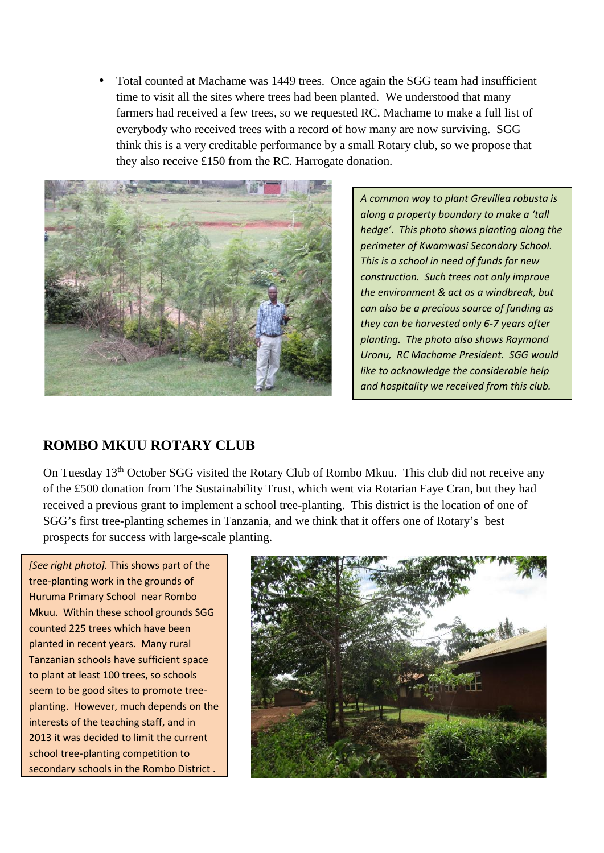Total counted at Machame was 1449 trees. Once again the SGG team had insufficient time to visit all the sites where trees had been planted. We understood that many farmers had received a few trees, so we requested RC.Machame to make a full list of everybody who received trees with a record of how many are now surviving. SGG think this is a very creditable performance by a small Rotary club, so we propose that they also receive £150 from the RC. Harrogate donation.



*A common way to plant Grevillea robusta is along a property boundary to make a 'tall hedge'. This photo shows planting along the perimeter of Kwamwasi Secondary School. This is a school in need of funds for new construction. Such trees not only improve the environment & act as a windbreak, but can also be a precious source of funding as they can be harvested only 6-7 years after planting. The photo also shows Raymond Uronu, RC Machame President. SGG would like to acknowledge the considerable help and hospitality we received from this club.*

#### **ROMBO MKUU ROTARY CLUB**

On Tuesday 13<sup>th</sup> October SGG visited the Rotary Club of Rombo Mkuu. This club did not receive any of the £500 donation from The Sustainability Trust, which went via Rotarian Faye Cran, but they had received a previous grant to implement a school tree-planting. This district is the location of one of SGG's first tree-planting schemes in Tanzania, and we think that it offers one of Rotary's best prospects for success with large-scale planting.

*[See right photo].* This shows part of the tree-planting work in the grounds of Huruma Primary School near Rombo Mkuu. Within these school grounds SGG counted 225 trees which have been planted in recent years. Many rural Tanzanian schools have sufficient space to plant at least 100 trees, so schools seem to be good sites to promote tree planting. However, much depends on the interests of the teaching staff, and in 2013 it was decided to limit the current school tree-planting competition to secondary schools in the Rombo District .

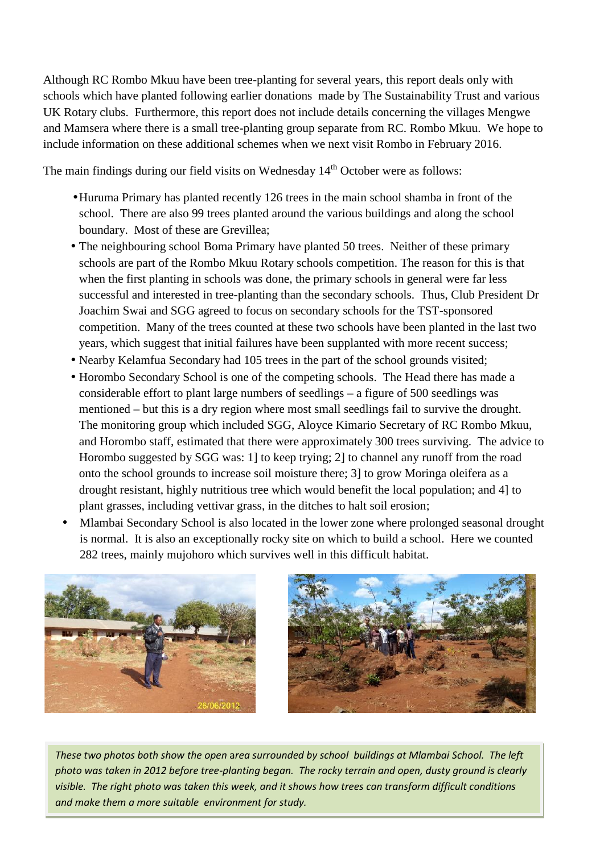Although RC Rombo Mkuu have been tree-planting for several years, this report deals only with schools which have planted following earlier donations made by The Sustainability Trust and various UK Rotary clubs. Furthermore, this report does not include details concerning the villages Mengwe and Mamsera where there is a small tree-planting group separate from RC. Rombo Mkuu. We hope to include information on these additional schemes when we next visit Rombo in February 2016.

The main findings during our field visits on Wednesday 14<sup>th</sup> October were as follows:

- Huruma Primary has planted recently 126 trees in the main school shamba in front of the school. There are also 99 trees planted around the various buildings and along the school boundary. Most of these are Grevillea;
- The neighbouring school Boma Primary have planted 50 trees. Neither of these primary schools are part of the Rombo Mkuu Rotary schools competition. The reason for this is that when the first planting in schools was done, the primary schools in general were far less successful and interested in tree-planting than the secondary schools. Thus, Club President Dr Joachim Swai and SGG agreed to focus on secondary schools for the TST-sponsored competition. Many of the trees counted at these two schools have been planted in the last two years, which suggest that initial failures have been supplanted with more recent success;
- Nearby Kelamfua Secondary had 105 trees in the part of the school grounds visited;
- Horombo Secondary School is one of the competing schools. The Head there has made a considerable effort to plant large numbers of seedlings – a figure of 500 seedlings was mentioned – but this is a dry region where most small seedlings fail to survive the drought. The monitoring group which included SGG, Aloyce Kimario Secretary of RC Rombo Mkuu, and Horombo staff, estimated that there were approximately 300 trees surviving. The advice to Horombo suggested by SGG was: 1] to keep trying; 2] to channel any runoff from the road onto the school grounds to increase soil moisture there; 3] to grow Moringa oleifera as a drought resistant, highly nutritious tree which would benefit the local population; and 4] to plant grasses, including vettivar grass, in the ditches to halt soil erosion;
- Mlambai Secondary School is also located in the lower zone where prolonged seasonal drought is normal. It is also an exceptionally rocky site on which to build a school. Here we counted 282 trees, mainly mujohoro which survives well in this difficult habitat.





*These two photos both show the open* a*rea surrounded by school buildings at Mlambai School. The left photo was taken in 2012 before tree-planting began. The rocky terrain and open, dusty ground is clearly visible. The right photo was taken this week, and it shows how trees can transform difficult conditions and make them a more suitable environment for study.*